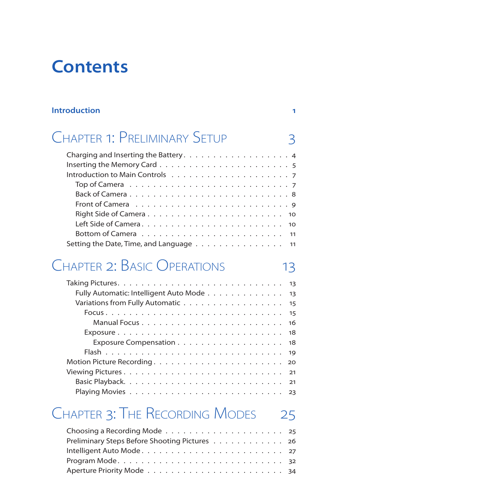# **Contents**

#### **Introduction 1**

# Chapter 1: Preliminary Setup 3

| Back of Camera8                                                               |
|-------------------------------------------------------------------------------|
| Front of Camera $\dots \dots \dots \dots \dots \dots \dots \dots \dots \dots$ |
|                                                                               |
|                                                                               |
|                                                                               |
| Setting the Date, Time, and Language 11                                       |

#### Chapter 2: Basic Operations 13

| Fully Automatic: Intelligent Auto Mode 13 |  |
|-------------------------------------------|--|
| Variations from Fully Automatic 15        |  |
|                                           |  |
|                                           |  |
|                                           |  |
|                                           |  |
|                                           |  |
|                                           |  |
|                                           |  |
|                                           |  |
|                                           |  |

#### CHAPTER 3: THE RECORDING MODES 25

| Preliminary Steps Before Shooting Pictures 26 |  |
|-----------------------------------------------|--|
|                                               |  |
|                                               |  |
|                                               |  |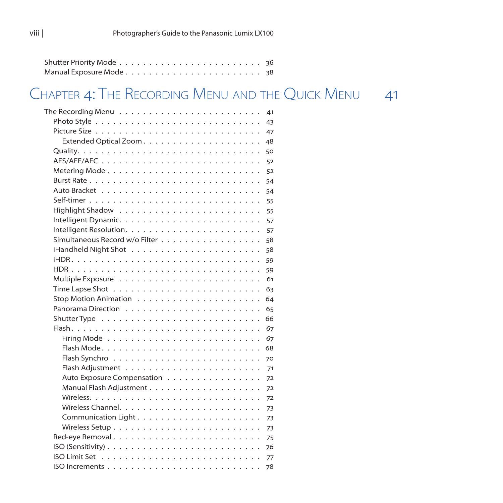#### Chapter 4: The Recording Menu and the Quick Menu 41

| The Recording Menu $\dots\dots\dots\dots\dots\dots\dots\dots\dots\dots\dots$ | 41 |
|------------------------------------------------------------------------------|----|
|                                                                              | 43 |
|                                                                              | 47 |
|                                                                              | 48 |
|                                                                              | 50 |
| AFS/AFF/AFC                                                                  | 52 |
|                                                                              | 52 |
|                                                                              | 54 |
|                                                                              | 54 |
|                                                                              | 55 |
|                                                                              | 55 |
|                                                                              | 57 |
|                                                                              | 57 |
| Simultaneous Record w/o Filter                                               | 58 |
|                                                                              | 58 |
|                                                                              | 59 |
|                                                                              | 59 |
|                                                                              | 61 |
|                                                                              | 63 |
|                                                                              | 64 |
|                                                                              | 65 |
|                                                                              | 66 |
|                                                                              | 67 |
|                                                                              | 67 |
|                                                                              | 68 |
|                                                                              | 70 |
|                                                                              | 71 |
| Auto Exposure Compensation                                                   | 72 |
|                                                                              | 72 |
|                                                                              | 72 |
|                                                                              | 73 |
|                                                                              | 73 |
|                                                                              | 73 |
|                                                                              | 75 |
|                                                                              | 76 |
|                                                                              | 77 |
|                                                                              | 78 |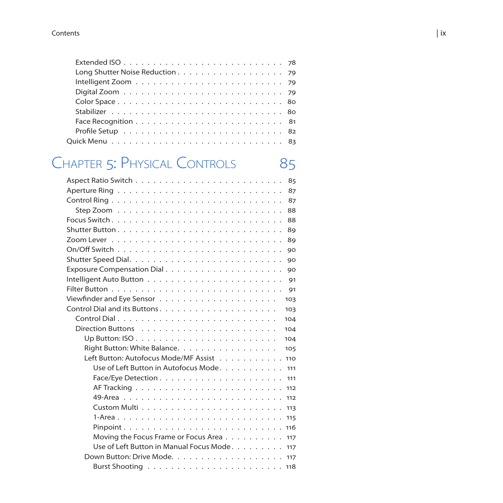| Face Recognition $\ldots \ldots \ldots \ldots \ldots \ldots \ldots \ldots$ |  |  |  |  |  |  |  |  |  |  |  |  |  |
|----------------------------------------------------------------------------|--|--|--|--|--|--|--|--|--|--|--|--|--|
|                                                                            |  |  |  |  |  |  |  |  |  |  |  |  |  |
|                                                                            |  |  |  |  |  |  |  |  |  |  |  |  |  |
|                                                                            |  |  |  |  |  |  |  |  |  |  |  |  |  |

# CHAPTER 5: PHYSICAL CONTROLS

| 85                                                                                     |
|----------------------------------------------------------------------------------------|
| 87                                                                                     |
| 87                                                                                     |
| 88                                                                                     |
| 88                                                                                     |
| 89                                                                                     |
| 89                                                                                     |
| 90                                                                                     |
| 90                                                                                     |
| Exposure Compensation Dial<br>90                                                       |
| 91                                                                                     |
| 91                                                                                     |
| 103                                                                                    |
| 103                                                                                    |
| 104                                                                                    |
| 104                                                                                    |
| Up Button: ISO $\ldots \ldots \ldots \ldots \ldots \ldots \ldots \ldots \ldots$<br>104 |
| Right Button: White Balance.<br>105                                                    |
| Left Button: Autofocus Mode/MF Assist<br>110                                           |
| Use of Left Button in Autofocus Mode.<br>111                                           |
| Face/Eye Detection $\ldots \ldots \ldots \ldots \ldots \ldots \ldots$<br>111           |
| 112                                                                                    |
|                                                                                        |
|                                                                                        |
|                                                                                        |
|                                                                                        |
|                                                                                        |
| Use of Left Button in Manual Focus Mode. 117                                           |
|                                                                                        |
|                                                                                        |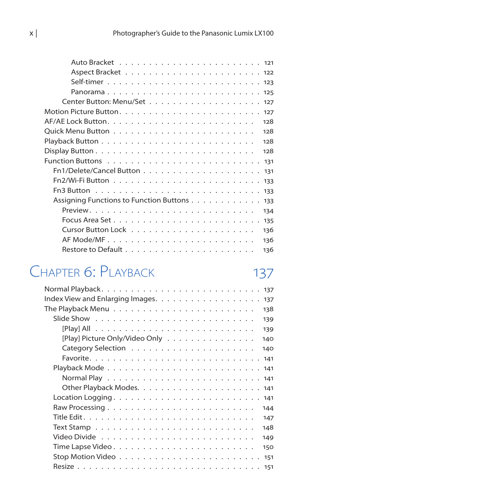| 128                                                                                    |  |
|----------------------------------------------------------------------------------------|--|
| 128                                                                                    |  |
| 128                                                                                    |  |
| Display Button $\ldots \ldots \ldots \ldots \ldots \ldots \ldots \ldots \ldots$<br>128 |  |
|                                                                                        |  |
|                                                                                        |  |
|                                                                                        |  |
| Fn3 Button $\ldots \ldots \ldots \ldots \ldots \ldots \ldots \ldots \ldots \ldots$     |  |
| Assigning Functions to Function Buttons 133                                            |  |
| 134                                                                                    |  |
|                                                                                        |  |
| 136                                                                                    |  |
| 136                                                                                    |  |
| 136                                                                                    |  |

# CHAPTER 6: PLAYBACK 137

| Index View and Enlarging Images.<br>137                                            |
|------------------------------------------------------------------------------------|
| The Playback Menu $\dots\dots\dots\dots\dots\dots\dots\dots\dots\dots\dots$<br>138 |
| 139                                                                                |
| 139                                                                                |
| [Play] Picture Only/Video Only<br>140                                              |
| 140                                                                                |
|                                                                                    |
|                                                                                    |
|                                                                                    |
|                                                                                    |
|                                                                                    |
| 144                                                                                |
| 147                                                                                |
| 148                                                                                |
| 149                                                                                |
| 150                                                                                |
| 151                                                                                |
|                                                                                    |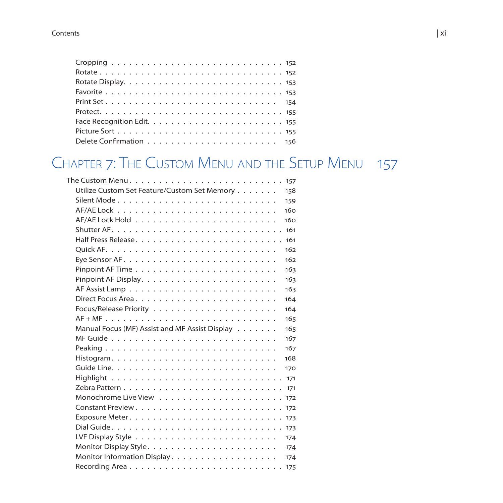# Chapter 7: The Custom Menu and the Setup Menu 157

| Utilize Custom Set Feature/Custom Set Memory<br>158   |
|-------------------------------------------------------|
| 159                                                   |
| 160                                                   |
| 160                                                   |
|                                                       |
| 161                                                   |
| 162                                                   |
| 162                                                   |
| 163                                                   |
| 163                                                   |
| 163                                                   |
| 164                                                   |
| 164                                                   |
| 165                                                   |
| Manual Focus (MF) Assist and MF Assist Display<br>165 |
| 167                                                   |
| 167                                                   |
| 168                                                   |
| 170                                                   |
|                                                       |
| 171                                                   |
| 172                                                   |
| 172                                                   |
|                                                       |
| 173                                                   |
| 174                                                   |
| 174                                                   |
| Monitor Information Display.<br>174                   |
| Recording Area<br>175                                 |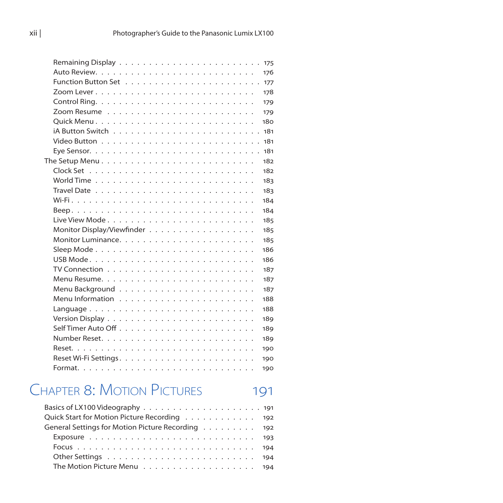|                                                                                        | 175 |
|----------------------------------------------------------------------------------------|-----|
|                                                                                        | 176 |
|                                                                                        | 177 |
|                                                                                        | 178 |
|                                                                                        | 179 |
|                                                                                        | 179 |
|                                                                                        | 180 |
|                                                                                        | 181 |
|                                                                                        | 181 |
|                                                                                        | 181 |
| The Setup Menu $\ldots \ldots \ldots \ldots \ldots \ldots \ldots \ldots \ldots \ldots$ | 182 |
|                                                                                        | 182 |
|                                                                                        | 183 |
|                                                                                        | 183 |
|                                                                                        | 184 |
|                                                                                        | 184 |
|                                                                                        | 185 |
|                                                                                        | 185 |
|                                                                                        | 185 |
|                                                                                        | 186 |
|                                                                                        | 186 |
|                                                                                        | 187 |
|                                                                                        | 187 |
|                                                                                        | 187 |
|                                                                                        | 188 |
| Language                                                                               | 188 |
|                                                                                        | 189 |
|                                                                                        | 189 |
|                                                                                        | 189 |
|                                                                                        | 190 |
|                                                                                        | 190 |
|                                                                                        | 190 |
|                                                                                        |     |

# CHAPTER 8: MOTION PICTURES 191

| Basics of LX100 Videography $\ldots \ldots \ldots \ldots \ldots \ldots \ldots \ldots$ |  |
|---------------------------------------------------------------------------------------|--|
| Quick Start for Motion Picture Recording 192                                          |  |
| General Settings for Motion Picture Recording 192                                     |  |
| Exposure $\ldots \ldots \ldots \ldots \ldots \ldots \ldots \ldots \ldots \ldots$      |  |
|                                                                                       |  |
|                                                                                       |  |
|                                                                                       |  |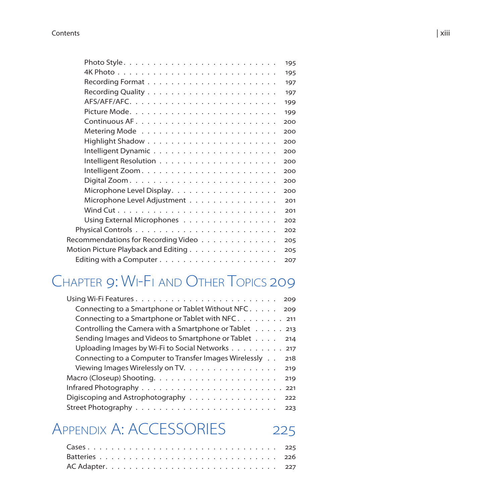|                                     | 195 |
|-------------------------------------|-----|
|                                     | 195 |
|                                     | 197 |
|                                     | 197 |
|                                     | 199 |
|                                     | 199 |
|                                     | 200 |
|                                     | 200 |
|                                     | 200 |
|                                     | 200 |
|                                     | 200 |
|                                     | 200 |
|                                     | 200 |
| Microphone Level Display.           | 200 |
| Microphone Level Adjustment         | 201 |
|                                     | 201 |
| Using External Microphones          | 202 |
|                                     | 202 |
| Recommendations for Recording Video | 205 |
| Motion Picture Playback and Editing | 205 |
|                                     | 207 |
|                                     |     |

# Chapter 9: Wi-Fi and Other Topics 209

| 209                                                           |
|---------------------------------------------------------------|
|                                                               |
|                                                               |
| Controlling the Camera with a Smartphone or Tablet 213        |
| Sending Images and Videos to Smartphone or Tablet<br>214      |
| Uploading Images by Wi-Fi to Social Networks 217              |
| Connecting to a Computer to Transfer Images Wirelessly<br>218 |
| Viewing Images Wirelessly on TV.<br>219                       |
| 219                                                           |
|                                                               |
| Digiscoping and Astrophotography<br>222                       |
| 223                                                           |

# APPENDIX A: ACCESSORIES 225